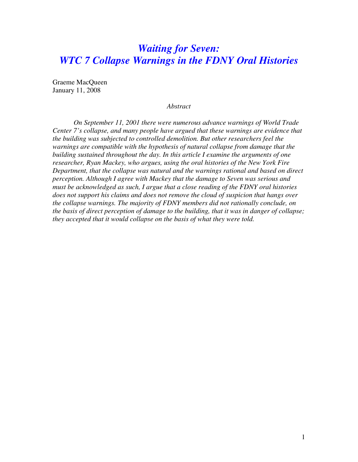# *Waiting for Seven: WTC 7 Collapse Warnings in the FDNY Oral Histories*

Graeme MacQueen January 11, 2008

## *Abstract*

*On September 11, 2001 there were numerous advance warnings of World Trade Center 7's collapse, and many people have argued that these warnings are evidence that the building was subjected to controlled demolition. But other researchers feel the warnings are compatible with the hypothesis of natural collapse from damage that the building sustained throughout the day. In this article I examine the arguments of one researcher, Ryan Mackey, who argues, using the oral histories of the New York Fire Department, that the collapse was natural and the warnings rational and based on direct perception. Although I agree with Mackey that the damage to Seven was serious and must be acknowledged as such, I argue that a close reading of the FDNY oral histories does not support his claims and does not remove the cloud of suspicion that hangs over the collapse warnings. The majority of FDNY members did not rationally conclude, on the basis of direct perception of damage to the building, that it was in danger of collapse; they accepted that it would collapse on the basis of what they were told.*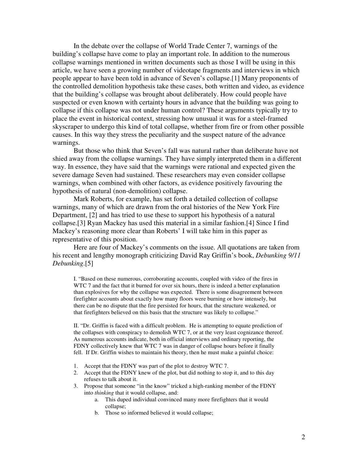In the debate over the collapse of World Trade Center 7, warnings of the building's collapse have come to play an important role. In addition to the numerous collapse warnings mentioned in written documents such as those I will be using in this article, we have seen a growing number of videotape fragments and interviews in which people appear to have been told in advance of Seven's collapse.[1] Many proponents of the controlled demolition hypothesis take these cases, both written and video, as evidence that the building's collapse was brought about deliberately. How could people have suspected or even known with certainty hours in advance that the building was going to collapse if this collapse was not under human control? These arguments typically try to place the event in historical context, stressing how unusual it was for a steel-framed skyscraper to undergo this kind of total collapse, whether from fire or from other possible causes. In this way they stress the peculiarity and the suspect nature of the advance warnings.

But those who think that Seven's fall was natural rather than deliberate have not shied away from the collapse warnings. They have simply interpreted them in a different way. In essence, they have said that the warnings were rational and expected given the severe damage Seven had sustained. These researchers may even consider collapse warnings, when combined with other factors, as evidence positively favouring the hypothesis of natural (non-demolition) collapse.

 Mark Roberts, for example, has set forth a detailed collection of collapse warnings, many of which are drawn from the oral histories of the New York Fire Department, [2] and has tried to use these to support his hypothesis of a natural collapse.[3] Ryan Mackey has used this material in a similar fashion.[4] Since I find Mackey's reasoning more clear than Roberts' I will take him in this paper as representative of this position.

Here are four of Mackey's comments on the issue. All quotations are taken from his recent and lengthy monograph criticizing David Ray Griffin's book, *Debunking 9/11 Debunking*.[5]

I. "Based on these numerous, corroborating accounts, coupled with video of the fires in WTC 7 and the fact that it burned for over six hours, there is indeed a better explanation than explosives for why the collapse was expected. There is some disagreement between firefighter accounts about exactly how many floors were burning or how intensely, but there can be no dispute that the fire persisted for hours, that the structure weakened, or that firefighters believed on this basis that the structure was likely to collapse."

II. "Dr. Griffin is faced with a difficult problem. He is attempting to equate prediction of the collapses with conspiracy to demolish WTC 7, or at the very least cognizance thereof. As numerous accounts indicate, both in official interviews and ordinary reporting, the FDNY collectively knew that WTC 7 was in danger of collapse hours before it finally fell. If Dr. Griffin wishes to maintain his theory, then he must make a painful choice:

- 1. Accept that the FDNY was part of the plot to destroy WTC 7.
- 2. Accept that the FDNY knew of the plot, but did nothing to stop it, and to this day refuses to talk about it.
- 3. Propose that someone "in the know" tricked a high-ranking member of the FDNY into *thinking* that it would collapse, and:
	- a. This duped individual convinced many more firefighters that it would collapse;
	- b. Those so informed believed it would collapse;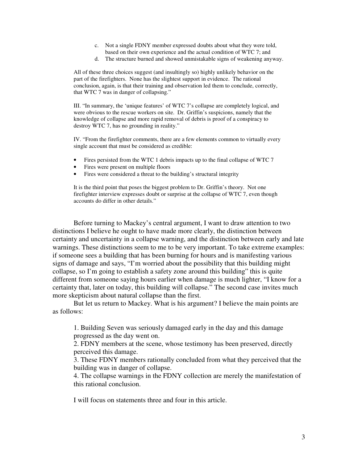- c. Not a single FDNY member expressed doubts about what they were told, based on their own experience and the actual condition of WTC 7; and
- d. The structure burned and showed unmistakable signs of weakening anyway.

All of these three choices suggest (and insultingly so) highly unlikely behavior on the part of the firefighters. None has the slightest support in evidence. The rational conclusion, again, is that their training and observation led them to conclude, correctly, that WTC 7 was in danger of collapsing."

III. "In summary, the 'unique features' of WTC 7's collapse are completely logical, and were obvious to the rescue workers on site. Dr. Griffin's suspicions, namely that the knowledge of collapse and more rapid removal of debris is proof of a conspiracy to destroy WTC 7, has no grounding in reality."

IV. "From the firefighter comments, there are a few elements common to virtually every single account that must be considered as credible:

- Fires persisted from the WTC 1 debris impacts up to the final collapse of WTC 7
- Fires were present on multiple floors
- Fires were considered a threat to the building's structural integrity

It is the third point that poses the biggest problem to Dr. Griffin's theory. Not one firefighter interview expresses doubt or surprise at the collapse of WTC 7, even though accounts do differ in other details."

Before turning to Mackey's central argument, I want to draw attention to two distinctions I believe he ought to have made more clearly, the distinction between certainty and uncertainty in a collapse warning, and the distinction between early and late warnings. These distinctions seem to me to be very important. To take extreme examples: if someone sees a building that has been burning for hours and is manifesting various signs of damage and says, "I'm worried about the possibility that this building might collapse, so I'm going to establish a safety zone around this building" this is quite different from someone saying hours earlier when damage is much lighter, "I know for a certainty that, later on today, this building will collapse." The second case invites much more skepticism about natural collapse than the first.

But let us return to Mackey. What is his argument? I believe the main points are as follows:

1. Building Seven was seriously damaged early in the day and this damage progressed as the day went on.

2. FDNY members at the scene, whose testimony has been preserved, directly perceived this damage.

3. These FDNY members rationally concluded from what they perceived that the building was in danger of collapse.

4. The collapse warnings in the FDNY collection are merely the manifestation of this rational conclusion.

I will focus on statements three and four in this article.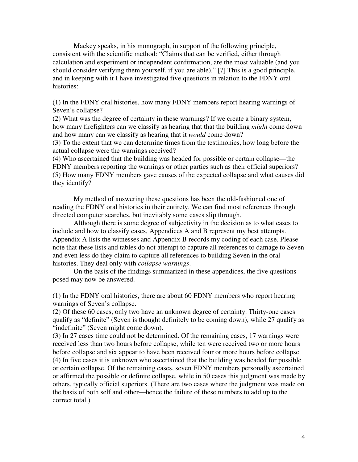Mackey speaks, in his monograph, in support of the following principle, consistent with the scientific method: "Claims that can be verified, either through calculation and experiment or independent confirmation, are the most valuable (and you should consider verifying them yourself, if you are able)." [7] This is a good principle, and in keeping with it I have investigated five questions in relation to the FDNY oral histories:

(1) In the FDNY oral histories, how many FDNY members report hearing warnings of Seven's collapse?

(2) What was the degree of certainty in these warnings? If we create a binary system, how many firefighters can we classify as hearing that that the building *might* come down and how many can we classify as hearing that it *would* come down?

(3) To the extent that we can determine times from the testimonies, how long before the actual collapse were the warnings received?

(4) Who ascertained that the building was headed for possible or certain collapse—the FDNY members reporting the warnings or other parties such as their official superiors? (5) How many FDNY members gave causes of the expected collapse and what causes did they identify?

My method of answering these questions has been the old-fashioned one of reading the FDNY oral histories in their entirety. We can find most references through directed computer searches, but inevitably some cases slip through.

Although there is some degree of subjectivity in the decision as to what cases to include and how to classify cases, Appendices A and B represent my best attempts. Appendix A lists the witnesses and Appendix B records my coding of each case. Please note that these lists and tables do not attempt to capture all references to damage to Seven and even less do they claim to capture all references to building Seven in the oral histories. They deal only with *collapse warnings*.

On the basis of the findings summarized in these appendices, the five questions posed may now be answered.

(1) In the FDNY oral histories, there are about 60 FDNY members who report hearing warnings of Seven's collapse.

(2) Of these 60 cases, only two have an unknown degree of certainty. Thirty-one cases qualify as "definite" (Seven is thought definitely to be coming down), while 27 qualify as "indefinite" (Seven might come down).

(3) In 27 cases time could not be determined. Of the remaining cases, 17 warnings were received less than two hours before collapse, while ten were received two or more hours before collapse and six appear to have been received four or more hours before collapse. (4) In five cases it is unknown who ascertained that the building was headed for possible or certain collapse. Of the remaining cases, seven FDNY members personally ascertained or affirmed the possible or definite collapse, while in 50 cases this judgment was made by others, typically official superiors. (There are two cases where the judgment was made on the basis of both self and other—hence the failure of these numbers to add up to the correct total.)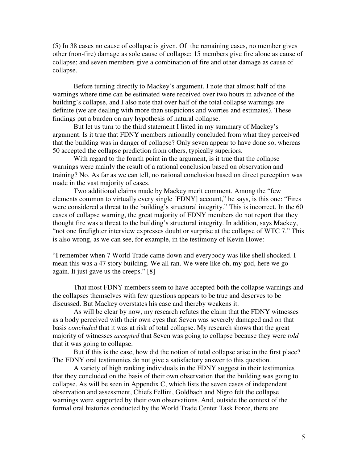(5) In 38 cases no cause of collapse is given. Of the remaining cases, no member gives other (non-fire) damage as sole cause of collapse; 15 members give fire alone as cause of collapse; and seven members give a combination of fire and other damage as cause of collapse.

Before turning directly to Mackey's argument, I note that almost half of the warnings where time can be estimated were received over two hours in advance of the building's collapse, and I also note that over half of the total collapse warnings are definite (we are dealing with more than suspicions and worries and estimates). These findings put a burden on any hypothesis of natural collapse.

But let us turn to the third statement I listed in my summary of Mackey's argument. Is it true that FDNY members rationally concluded from what they perceived that the building was in danger of collapse? Only seven appear to have done so, whereas 50 accepted the collapse prediction from others, typically superiors.

With regard to the fourth point in the argument, is it true that the collapse warnings were mainly the result of a rational conclusion based on observation and training? No. As far as we can tell, no rational conclusion based on direct perception was made in the vast majority of cases.

Two additional claims made by Mackey merit comment. Among the "few elements common to virtually every single [FDNY] account," he says, is this one: "Fires were considered a threat to the building's structural integrity." This is incorrect. In the 60 cases of collapse warning, the great majority of FDNY members do not report that they thought fire was a threat to the building's structural integrity. In addition, says Mackey, "not one firefighter interview expresses doubt or surprise at the collapse of WTC 7." This is also wrong, as we can see, for example, in the testimony of Kevin Howe:

"I remember when 7 World Trade came down and everybody was like shell shocked. I mean this was a 47 story building. We all ran. We were like oh, my god, here we go again. It just gave us the creeps." [8]

That most FDNY members seem to have accepted both the collapse warnings and the collapses themselves with few questions appears to be true and deserves to be discussed. But Mackey overstates his case and thereby weakens it.

As will be clear by now, my research refutes the claim that the FDNY witnesses as a body perceived with their own eyes that Seven was severely damaged and on that basis *concluded* that it was at risk of total collapse. My research shows that the great majority of witnesses *accepted* that Seven was going to collapse because they were *told* that it was going to collapse.

But if this is the case, how did the notion of total collapse arise in the first place? The FDNY oral testimonies do not give a satisfactory answer to this question.

A variety of high ranking individuals in the FDNY suggest in their testimonies that they concluded on the basis of their own observation that the building was going to collapse. As will be seen in Appendix C, which lists the seven cases of independent observation and assessment, Chiefs Fellini, Goldbach and Nigro felt the collapse warnings were supported by their own observations. And, outside the context of the formal oral histories conducted by the World Trade Center Task Force, there are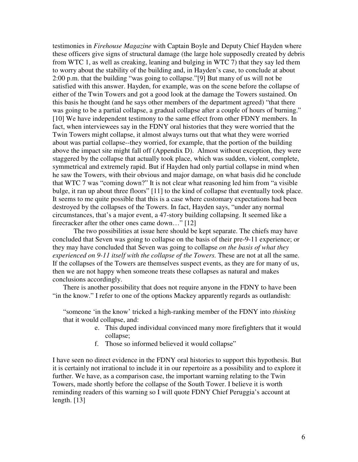testimonies in *Firehouse Magazine* with Captain Boyle and Deputy Chief Hayden where these officers give signs of structural damage (the large hole supposedly created by debris from WTC 1, as well as creaking, leaning and bulging in WTC 7) that they say led them to worry about the stability of the building and, in Hayden's case, to conclude at about 2:00 p.m. that the building "was going to collapse."[9] But many of us will not be satisfied with this answer. Hayden, for example, was on the scene before the collapse of either of the Twin Towers and got a good look at the damage the Towers sustained. On this basis he thought (and he says other members of the department agreed) "that there was going to be a partial collapse, a gradual collapse after a couple of hours of burning." [10] We have independent testimony to the same effect from other FDNY members. In fact, when interviewees say in the FDNY oral histories that they were worried that the Twin Towers might collapse, it almost always turns out that what they were worried about was partial collapse--they worried, for example, that the portion of the building above the impact site might fall off (Appendix D). Almost without exception, they were staggered by the collapse that actually took place, which was sudden, violent, complete, symmetrical and extremely rapid. But if Hayden had only partial collapse in mind when he saw the Towers, with their obvious and major damage, on what basis did he conclude that WTC 7 was "coming down?" It is not clear what reasoning led him from "a visible bulge, it ran up about three floors" [11] to the kind of collapse that eventually took place. It seems to me quite possible that this is a case where customary expectations had been destroyed by the collapses of the Towers. In fact, Hayden says, "under any normal circumstances, that's a major event, a 47-story building collapsing. It seemed like a firecracker after the other ones came down…" [12]

The two possibilities at issue here should be kept separate. The chiefs may have concluded that Seven was going to collapse on the basis of their pre-9-11 experience; or they may have concluded that Seven was going to collapse *on the basis of what they experienced on 9-11 itself with the collapse of the Towers.* These are not at all the same. If the collapses of the Towers are themselves suspect events, as they are for many of us, then we are not happy when someone treats these collapses as natural and makes conclusions accordingly.

There is another possibility that does not require anyone in the FDNY to have been "in the know." I refer to one of the options Mackey apparently regards as outlandish:

"someone 'in the know' tricked a high-ranking member of the FDNY into *thinking*  that it would collapse, and:

- e. This duped individual convinced many more firefighters that it would collapse;
- f. Those so informed believed it would collapse"

I have seen no direct evidence in the FDNY oral histories to support this hypothesis. But it is certainly not irrational to include it in our repertoire as a possibility and to explore it further. We have, as a comparison case, the important warning relating to the Twin Towers, made shortly before the collapse of the South Tower. I believe it is worth reminding readers of this warning so I will quote FDNY Chief Peruggia's account at length. [13]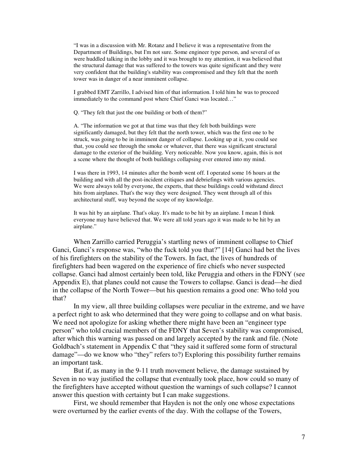"I was in a discussion with Mr. Rotanz and I believe it was a representative from the Department of Buildings, but I'm not sure. Some engineer type person, and several of us were huddled talking in the lobby and it was brought to my attention, it was believed that the structural damage that was suffered to the towers was quite significant and they were very confident that the building's stability was compromised and they felt that the north tower was in danger of a near imminent collapse.

I grabbed EMT Zarrillo, I advised him of that information. I told him he was to proceed immediately to the command post where Chief Ganci was located…"

Q. "They felt that just the one building or both of them?"

A. "The information we got at that time was that they felt both buildings were significantly damaged, but they felt that the north tower, which was the first one to be struck, was going to be in imminent danger of collapse. Looking up at it, you could see that, you could see through the smoke or whatever, that there was significant structural damage to the exterior of the building. Very noticeable. Now you know, again, this is not a scene where the thought of both buildings collapsing ever entered into my mind.

I was there in 1993, 14 minutes after the bomb went off. I operated some 16 hours at the building and with all the post-incident critiques and debriefings with various agencies. We were always told by everyone, the experts, that these buildings could withstand direct hits from airplanes. That's the way they were designed. They went through all of this architectural stuff, way beyond the scope of my knowledge.

It was hit by an airplane. That's okay. It's made to be hit by an airplane. I mean I think everyone may have believed that. We were all told years ago it was made to be hit by an airplane."

When Zarrillo carried Peruggia's startling news of imminent collapse to Chief Ganci, Ganci's response was, "who the fuck told you that?" [14] Ganci had bet the lives of his firefighters on the stability of the Towers. In fact, the lives of hundreds of firefighters had been wagered on the experience of fire chiefs who never suspected collapse. Ganci had almost certainly been told, like Peruggia and others in the FDNY (see Appendix E), that planes could not cause the Towers to collapse. Ganci is dead—he died in the collapse of the North Tower—but his question remains a good one: Who told you that?

In my view, all three building collapses were peculiar in the extreme, and we have a perfect right to ask who determined that they were going to collapse and on what basis. We need not apologize for asking whether there might have been an "engineer type" person" who told crucial members of the FDNY that Seven's stability was compromised, after which this warning was passed on and largely accepted by the rank and file. (Note Goldbach's statement in Appendix C that "they said it suffered some form of structural damage"—do we know who "they" refers to?) Exploring this possibility further remains an important task.

But if, as many in the 9-11 truth movement believe, the damage sustained by Seven in no way justified the collapse that eventually took place, how could so many of the firefighters have accepted without question the warnings of such collapse? I cannot answer this question with certainty but I can make suggestions.

First, we should remember that Hayden is not the only one whose expectations were overturned by the earlier events of the day. With the collapse of the Towers,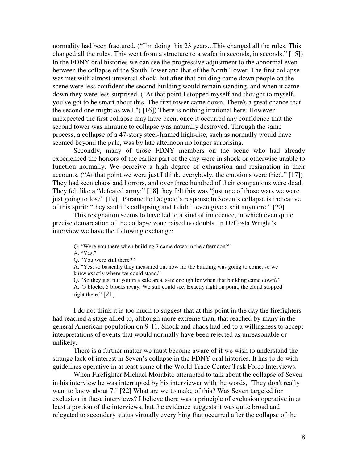normality had been fractured. ("I'm doing this 23 years...This changed all the rules. This changed all the rules. This went from a structure to a wafer in seconds, in seconds." [15]) In the FDNY oral histories we can see the progressive adjustment to the abnormal even between the collapse of the South Tower and that of the North Tower. The first collapse was met with almost universal shock, but after that building came down people on the scene were less confident the second building would remain standing, and when it came down they were less surprised. ("At that point I stopped myself and thought to myself, you've got to be smart about this. The first tower came down. There's a great chance that the second one might as well.") [16]) There is nothing irrational here. However unexpected the first collapse may have been, once it occurred any confidence that the second tower was immune to collapse was naturally destroyed. Through the same process, a collapse of a 47-story steel-framed high-rise, such as normally would have seemed beyond the pale, was by late afternoon no longer surprising.

Secondly, many of those FDNY members on the scene who had already experienced the horrors of the earlier part of the day were in shock or otherwise unable to function normally. We perceive a high degree of exhaustion and resignation in their accounts. ("At that point we were just I think, everybody, the emotions were fried." [17]) They had seen chaos and horrors, and over three hundred of their companions were dead. They felt like a "defeated army;" [18] they felt this was "just one of those wars we were just going to lose" [19]. Paramedic Delgado's response to Seven's collapse is indicative of this spirit: "they said it's collapsing and I didn't even give a shit anymore." [20]

This resignation seems to have led to a kind of innocence, in which even quite precise demarcation of the collapse zone raised no doubts. In DeCosta Wright's interview we have the following exchange:

Q. "Were you there when building 7 came down in the afternoon?"

A. "Yes."

Q. "You were still there?"

A. "Yes, so basically they measured out how far the building was going to come, so we knew exactly where we could stand."

Q. "So they just put you in a safe area, safe enough for when that building came down?" A. "5 blocks. 5 blocks away. We still could see. Exactly right on point, the cloud stopped right there." [21]

I do not think it is too much to suggest that at this point in the day the firefighters had reached a stage allied to, although more extreme than, that reached by many in the general American population on 9-11. Shock and chaos had led to a willingness to accept interpretations of events that would normally have been rejected as unreasonable or unlikely.

There is a further matter we must become aware of if we wish to understand the strange lack of interest in Seven's collapse in the FDNY oral histories. It has to do with guidelines operative in at least some of the World Trade Center Task Force Interviews.

When Firefighter Michael Morabito attempted to talk about the collapse of Seven in his interview he was interrupted by his interviewer with the words, "They don't really want to know about 7." [22] What are we to make of this? Was Seven targeted for exclusion in these interviews? I believe there was a principle of exclusion operative in at least a portion of the interviews, but the evidence suggests it was quite broad and relegated to secondary status virtually everything that occurred after the collapse of the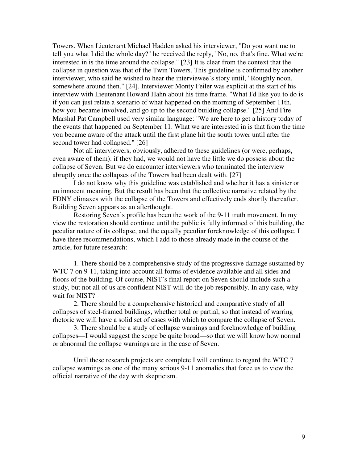Towers. When Lieutenant Michael Hadden asked his interviewer, "Do you want me to tell you what I did the whole day?" he received the reply, "No, no, that's fine. What we're interested in is the time around the collapse." [23] It is clear from the context that the collapse in question was that of the Twin Towers. This guideline is confirmed by another interviewer, who said he wished to hear the interviewee's story until, "Roughly noon, somewhere around then." [24]. Interviewer Monty Feiler was explicit at the start of his interview with Lieutenant Howard Hahn about his time frame. "What I'd like you to do is if you can just relate a scenario of what happened on the morning of September 11th, how you became involved, and go up to the second building collapse." [25] And Fire Marshal Pat Campbell used very similar language: "We are here to get a history today of the events that happened on September 11. What we are interested in is that from the time you became aware of the attack until the first plane hit the south tower until after the second tower had collapsed." [26]

Not all interviewers, obviously, adhered to these guidelines (or were, perhaps, even aware of them): if they had, we would not have the little we do possess about the collapse of Seven. But we do encounter interviewers who terminated the interview abruptly once the collapses of the Towers had been dealt with. [27]

I do not know why this guideline was established and whether it has a sinister or an innocent meaning. But the result has been that the collective narrative related by the FDNY climaxes with the collapse of the Towers and effectively ends shortly thereafter. Building Seven appears as an afterthought.

Restoring Seven's profile has been the work of the 9-11 truth movement. In my view the restoration should continue until the public is fully informed of this building, the peculiar nature of its collapse, and the equally peculiar foreknowledge of this collapse. I have three recommendations, which I add to those already made in the course of the article, for future research:

1. There should be a comprehensive study of the progressive damage sustained by WTC 7 on 9-11, taking into account all forms of evidence available and all sides and floors of the building. Of course, NIST's final report on Seven should include such a study, but not all of us are confident NIST will do the job responsibly. In any case, why wait for NIST?

2. There should be a comprehensive historical and comparative study of all collapses of steel-framed buildings, whether total or partial, so that instead of warring rhetoric we will have a solid set of cases with which to compare the collapse of Seven.

3. There should be a study of collapse warnings and foreknowledge of building collapses—I would suggest the scope be quite broad—so that we will know how normal or abnormal the collapse warnings are in the case of Seven.

Until these research projects are complete I will continue to regard the WTC 7 collapse warnings as one of the many serious 9-11 anomalies that force us to view the official narrative of the day with skepticism.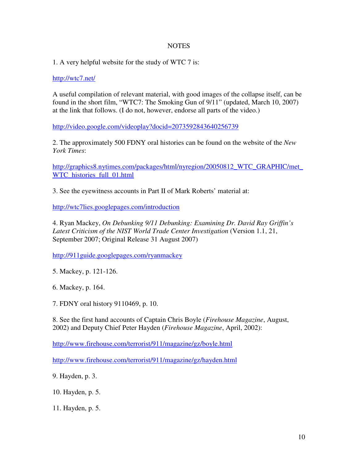# **NOTES**

1. A very helpful website for the study of WTC 7 is:

http://wtc7.net/

A useful compilation of relevant material, with good images of the collapse itself, can be found in the short film, "WTC7: The Smoking Gun of 9/11" (updated, March 10, 2007) at the link that follows. (I do not, however, endorse all parts of the video.)

http://video.google.com/videoplay?docid=2073592843640256739

2. The approximately 500 FDNY oral histories can be found on the website of the *New York Times*:

http://graphics8.nytimes.com/packages/html/nyregion/20050812\_WTC\_GRAPHIC/met\_ WTC\_histories\_full\_01.html

3. See the eyewitness accounts in Part II of Mark Roberts' material at:

http://wtc7lies.googlepages.com/introduction

4. Ryan Mackey, *On Debunking 9/11 Debunking: Examining Dr. David Ray Griffin's Latest Criticism of the NIST World Trade Center Investigation* (Version 1.1, 21, September 2007; Original Release 31 August 2007)

http://911guide.googlepages.com/ryanmackey

5. Mackey, p. 121-126.

6. Mackey, p. 164.

7. FDNY oral history 9110469, p. 10.

8. See the first hand accounts of Captain Chris Boyle (*Firehouse Magazine*, August, 2002) and Deputy Chief Peter Hayden (*Firehouse Magazine*, April, 2002):

http://www.firehouse.com/terrorist/911/magazine/gz/boyle.html

http://www.firehouse.com/terrorist/911/magazine/gz/hayden.html

9. Hayden, p. 3.

10. Hayden, p. 5.

11. Hayden, p. 5.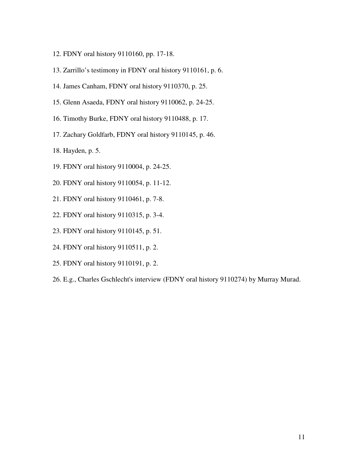- 12. FDNY oral history 9110160, pp. 17-18.
- 13. Zarrillo's testimony in FDNY oral history 9110161, p. 6.
- 14. James Canham, FDNY oral history 9110370, p. 25.
- 15. Glenn Asaeda, FDNY oral history 9110062, p. 24-25.
- 16. Timothy Burke, FDNY oral history 9110488, p. 17.
- 17. Zachary Goldfarb, FDNY oral history 9110145, p. 46.
- 18. Hayden, p. 5.
- 19. FDNY oral history 9110004, p. 24-25.
- 20. FDNY oral history 9110054, p. 11-12.
- 21. FDNY oral history 9110461, p. 7-8.
- 22. FDNY oral history 9110315, p. 3-4.
- 23. FDNY oral history 9110145, p. 51.
- 24. FDNY oral history 9110511, p. 2.
- 25. FDNY oral history 9110191, p. 2.
- 26. E.g., Charles Gschlecht's interview (FDNY oral history 9110274) by Murray Murad.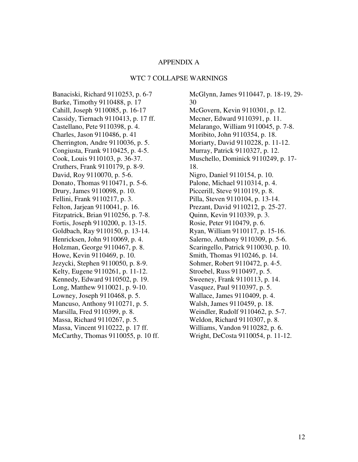## APPENDIX A

#### WTC 7 COLLAPSE WARNINGS

Banaciski, Richard 9110253, p. 6-7 Burke, Timothy 9110488, p. 17 Cahill, Joseph 9110085, p. 16-17 Cassidy, Tiernach 9110413, p. 17 ff. Castellano, Pete 9110398, p. 4. Charles, Jason 9110486, p. 41 Cherrington, Andre 9110036, p. 5. Congiusta, Frank 9110425, p. 4-5. Cook, Louis 9110103, p. 36-37. Cruthers, Frank 9110179, p. 8-9. David, Roy 9110070, p. 5-6. Donato, Thomas 9110471, p. 5-6. Drury, James 9110098, p. 10. Fellini, Frank 9110217, p. 3. Felton, Jarjean 9110041, p. 16. Fitzpatrick, Brian 9110256, p. 7-8. Fortis, Joseph 9110200, p. 13-15. Goldbach, Ray 9110150, p. 13-14. Henricksen, John 9110069, p. 4. Holzman, George 9110467, p. 8. Howe, Kevin 9110469, p. 10. Jezycki, Stephen 9110050, p. 8-9. Kelty, Eugene 9110261, p. 11-12. Kennedy, Edward 9110502, p. 19. Long, Matthew 9110021, p. 9-10. Lowney, Joseph 9110468, p. 5. Mancuso, Anthony 9110271, p. 5. Marsilla, Fred 9110399, p. 8. Massa, Richard 9110267, p. 5. Massa, Vincent 9110222, p. 17 ff. McCarthy, Thomas 9110055, p. 10 ff.

McGlynn, James 9110447, p. 18-19, 29- 30 McGovern, Kevin 9110301, p. 12. Mecner, Edward 9110391, p. 11. Melarango, William 9110045, p. 7-8. Moribito, John 9110354, p. 18. Moriarty, David 9110228, p. 11-12. Murray, Patrick 9110327, p. 12. Muschello, Dominick 9110249, p. 17- 18. Nigro, Daniel 9110154, p. 10. Palone, Michael 9110314, p. 4. Piccerill, Steve 9110119, p. 8. Pilla, Steven 9110104, p. 13-14. Prezant, David 9110212, p. 25-27. Quinn, Kevin 9110339, p. 3. Rosie, Peter 9110479, p. 6. Ryan, William 9110117, p. 15-16. Salerno, Anthony 9110309, p. 5-6. Scaringello, Patrick 9110030, p. 10. Smith, Thomas 9110246, p. 14. Sohmer, Robert 9110472, p. 4-5. Stroebel, Russ 9110497, p. 5. Sweeney, Frank 9110113, p. 14. Vasquez, Paul 9110397, p. 5. Wallace, James 9110409, p. 4. Walsh, James 9110459, p. 18. Weindler, Rudolf 9110462, p. 5-7. Weldon, Richard 9110307, p. 8. Williams, Vandon 9110282, p. 6. Wright, DeCosta 9110054, p. 11-12.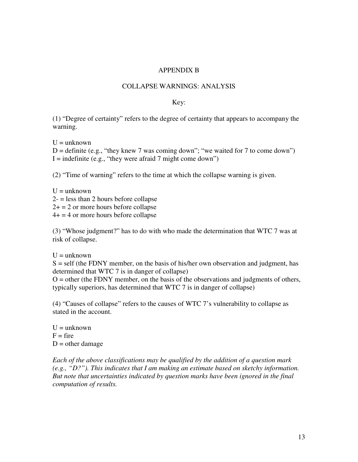# APPENDIX B

# COLLAPSE WARNINGS: ANALYSIS

## Key:

(1) "Degree of certainty" refers to the degree of certainty that appears to accompany the warning.

 $U =$ unknown

 $D =$  definite (e.g., "they knew 7 was coming down"; "we waited for 7 to come down")  $I =$  indefinite (e.g., "they were afraid 7 might come down")

(2) "Time of warning" refers to the time at which the collapse warning is given.

 $U =$ unknown  $2 -$  = less than 2 hours before collapse  $2+ = 2$  or more hours before collapse  $4+ = 4$  or more hours before collapse

(3) "Whose judgment?" has to do with who made the determination that WTC 7 was at risk of collapse.

 $U =$ unknown

 $S =$  self (the FDNY member, on the basis of his/her own observation and judgment, has determined that WTC 7 is in danger of collapse)

 $O =$  other (the FDNY member, on the basis of the observations and judgments of others, typically superiors, has determined that WTC 7 is in danger of collapse)

(4) "Causes of collapse" refers to the causes of WTC 7's vulnerability to collapse as stated in the account.

 $U =$ unknown  $F = fire$  $D =$  other damage

*Each of the above classifications may be qualified by the addition of a question mark (e.g., "D?"). This indicates that I am making an estimate based on sketchy information. But note that uncertainties indicated by question marks have been ignored in the final computation of results.*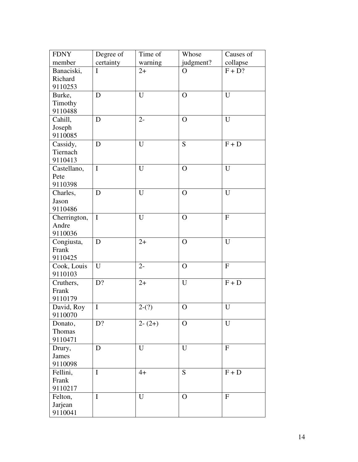| <b>FDNY</b>  | Degree of   | Time of  | Whose        | Causes of          |
|--------------|-------------|----------|--------------|--------------------|
| member       | certainty   | warning  | judgment?    | collapse           |
| Banaciski,   | $\mathbf I$ | $2+$     | $\Omega$     | $F + D?$           |
| Richard      |             |          |              |                    |
| 9110253      |             |          |              |                    |
| Burke,       | D           | U        | $\mathbf O$  | U                  |
| Timothy      |             |          |              |                    |
| 9110488      |             |          |              |                    |
| Cahill,      | D           | $2 -$    | $\mathbf{O}$ | $\overline{U}$     |
| Joseph       |             |          |              |                    |
| 9110085      |             |          |              |                    |
| Cassidy,     | D           | U        | S            | $F + D$            |
| Tiernach     |             |          |              |                    |
| 9110413      |             |          |              |                    |
| Castellano,  | $\mathbf I$ | U        | $\mathbf O$  | $\overline{U}$     |
| Pete         |             |          |              |                    |
| 9110398      |             |          |              |                    |
| Charles,     | D           | U        | $\mathbf O$  | U                  |
| Jason        |             |          |              |                    |
| 9110486      |             |          |              |                    |
| Cherrington, | $\mathbf I$ | U        | $\mathbf{O}$ | $\bar{\mathrm{F}}$ |
| Andre        |             |          |              |                    |
| 9110036      |             |          |              |                    |
| Congiusta,   | D           | $2+$     | $\Omega$     | U                  |
| Frank        |             |          |              |                    |
| 9110425      |             |          |              |                    |
| Cook, Louis  | U           | $2 -$    | $\Omega$     | $\mathbf{F}$       |
| 9110103      |             |          |              |                    |
| Cruthers,    | D?          | $2+$     | U            | $F + D$            |
| Frank        |             |          |              |                    |
| 9110179      |             |          |              |                    |
| David, Roy   | $\mathbf I$ | $2-(?)$  | $\mathbf O$  | $\overline{U}$     |
| 9110070      |             |          |              |                    |
| Donato,      | D?          | $2-(2+)$ | $\mathbf{O}$ | U                  |
| Thomas       |             |          |              |                    |
| 9110471      |             |          |              |                    |
| Drury,       | D           | U        | U            | $\mathbf F$        |
| <b>James</b> |             |          |              |                    |
| 9110098      |             |          |              |                    |
| Fellini,     | $\mathbf I$ | $4+$     | S            | $F + D$            |
| Frank        |             |          |              |                    |
| 9110217      |             |          |              |                    |
| Felton,      | $\mathbf I$ | U        | $\mathbf{O}$ | $\mathbf F$        |
| Jarjean      |             |          |              |                    |
| 9110041      |             |          |              |                    |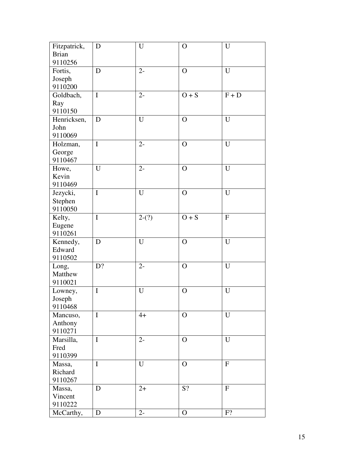| Fitzpatrick,      | D           | U           | $\mathbf O$    | ${\bf U}$    |
|-------------------|-------------|-------------|----------------|--------------|
| <b>Brian</b>      |             |             |                |              |
| 9110256           |             |             |                |              |
| Fortis,           | D           | $2 -$       | $\mathbf{O}$   | U            |
| Joseph            |             |             |                |              |
| 9110200           |             |             |                |              |
| Goldbach,         | $\mathbf I$ | $2-$        | $O + S$        | $F + D$      |
| Ray               |             |             |                |              |
| 9110150           |             |             |                |              |
| Henricksen,       | D           | U           | $\mathbf{O}$   | U            |
| John              |             |             |                |              |
| 9110069           |             |             |                |              |
| Holzman,          | $\mathbf I$ | $2 -$       | $\mathbf{O}$   | $\mathbf U$  |
| George            |             |             |                |              |
| 9110467           |             |             |                |              |
| Howe,             | U           | $2 -$       | $\mathbf{O}$   | U            |
| Kevin             |             |             |                |              |
| 9110469           |             |             |                |              |
| Jezycki,          | $\mathbf I$ | U           | $\overline{O}$ | U            |
| Stephen           |             |             |                |              |
| 9110050           |             |             |                |              |
| Kelty,            | $\mathbf I$ | $2-(?)$     | $O + S$        | ${\bf F}$    |
| Eugene            |             |             |                |              |
| 9110261           |             |             |                |              |
| Kennedy,          | D           | $\mathbf U$ | $\overline{O}$ | U            |
| Edward            |             |             |                |              |
| 9110502           |             |             |                |              |
|                   | D?          | $2 -$       | $\mathbf O$    | U            |
| Long,<br>Matthew  |             |             |                |              |
| 9110021           |             |             |                |              |
|                   | $\mathbf I$ | U           | $\overline{O}$ | $\mathbf U$  |
| Lowney,           |             |             |                |              |
| Joseph<br>9110468 |             |             |                |              |
|                   | $\mathbf I$ | $4+$        | $\mathbf{O}$   | $\mathbf U$  |
| Mancuso,          |             |             |                |              |
| Anthony           |             |             |                |              |
| 9110271           | $\mathbf I$ |             |                | U            |
| Marsilla,         |             | $2-$        | $\mathbf{O}$   |              |
| Fred              |             |             |                |              |
| 9110399           |             |             |                |              |
| Massa,            | $\mathbf I$ | U           | $\mathbf{O}$   | $\mathbf{F}$ |
| Richard           |             |             |                |              |
| 9110267           |             |             |                |              |
| Massa,            | D           | $2+$        | S?             | ${\bf F}$    |
| Vincent           |             |             |                |              |
| 9110222           |             |             |                |              |
| McCarthy,         | D           | $2 -$       | $\mathbf{O}$   | F?           |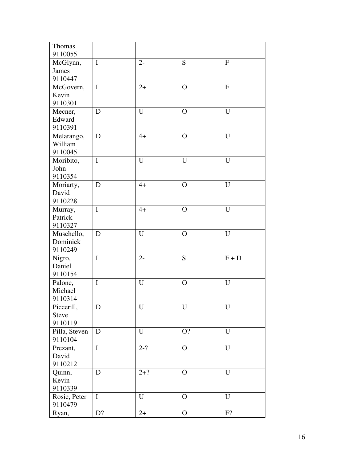| Thomas        |             |             |              |             |
|---------------|-------------|-------------|--------------|-------------|
| 9110055       |             |             |              |             |
| McGlynn,      | $\mathbf I$ | $2 -$       | S            | ${\bf F}$   |
| <b>James</b>  |             |             |              |             |
| 9110447       |             |             |              |             |
| McGovern,     | $\mathbf I$ | $2+$        | $\Omega$     | ${\bf F}$   |
| Kevin         |             |             |              |             |
| 9110301       |             |             |              |             |
| Mecner,       | D           | $\mathbf U$ | $\Omega$     | $\mathbf U$ |
| Edward        |             |             |              |             |
| 9110391       |             |             |              |             |
| Melarango,    | D           | $4+$        | $\Omega$     | U           |
| William       |             |             |              |             |
| 9110045       |             |             |              |             |
| Moribito,     | $\mathbf I$ | $\mathbf U$ | U            | $\mathbf U$ |
| John          |             |             |              |             |
| 9110354       |             |             |              |             |
| Moriarty,     | D           | $4+$        | $\mathbf{O}$ | U           |
| David         |             |             |              |             |
| 9110228       |             |             |              |             |
| Murray,       | $\mathbf I$ | $4+$        | $\Omega$     | U           |
| Patrick       |             |             |              |             |
| 9110327       |             |             |              |             |
| Muschello,    | D           | $\mathbf U$ | $\mathbf{O}$ | $\mathbf U$ |
| Dominick      |             |             |              |             |
| 9110249       |             |             |              |             |
| Nigro,        | $\mathbf I$ | $2 -$       | S            | $F + D$     |
| Daniel        |             |             |              |             |
| 9110154       |             |             |              |             |
| Palone,       | $\mathbf I$ | $\mathbf U$ | $\mathbf O$  | $\mathbf U$ |
| Michael       |             |             |              |             |
| 9110314       |             |             |              |             |
| Piccerill,    | D           | U           | U            | U           |
| <b>Steve</b>  |             |             |              |             |
| 9110119       |             |             |              |             |
| Pilla, Steven | D           | $\mathbf U$ | $O$ ?        | $\mathbf U$ |
| 9110104       |             |             |              |             |
| Prezant,      | $\mathbf I$ | $2-?$       | $\mathbf{O}$ | $\mathbf U$ |
| David         |             |             |              |             |
| 9110212       |             |             |              |             |
| Quinn,        | $\mathbf D$ | $2 + ?$     | $\mathbf{O}$ | $\mathbf U$ |
| Kevin         |             |             |              |             |
| 9110339       |             |             |              |             |
| Rosie, Peter  | $\mathbf I$ | U           | $\mathbf{O}$ | U           |
| 9110479       |             |             |              |             |
|               | D?          | $2+$        | $\mathbf O$  | F?          |
| Ryan,         |             |             |              |             |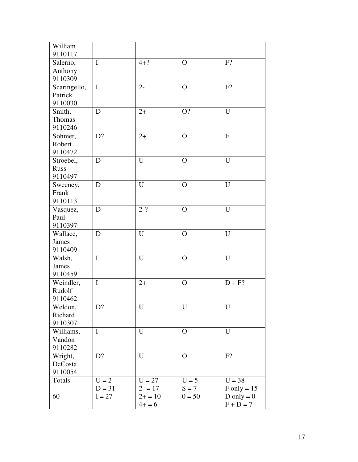| William<br>9110117 |             |                     |              |                |
|--------------------|-------------|---------------------|--------------|----------------|
| Salerno,           | $\mathbf I$ | $4 + ?$             | $\mathbf O$  | $F$ ?          |
| Anthony            |             |                     |              |                |
| 9110309            |             |                     |              |                |
| Scaringello,       | $\mathbf I$ | $2 -$               | $\mathbf O$  | F?             |
| Patrick            |             |                     |              |                |
| 9110030            |             |                     |              |                |
| Smith,             | D           | $2+$                | O?           | $\overline{U}$ |
| Thomas             |             |                     |              |                |
| 9110246            |             |                     |              |                |
| Sohmer,            | D?          | $2+$                | $\mathbf O$  | $\overline{F}$ |
| Robert             |             |                     |              |                |
| 9110472            |             |                     |              |                |
| Stroebel,          | D           | U                   | $\mathbf{O}$ | $\overline{U}$ |
| <b>Russ</b>        |             |                     |              |                |
| 9110497            |             |                     |              |                |
| Sweeney,           | D           | U                   | $\mathbf{O}$ | U              |
| Frank              |             |                     |              |                |
| 9110113            |             |                     |              |                |
| Vasquez,           | D           | $2 - ?$             | $\mathbf{O}$ | U              |
| Paul               |             |                     |              |                |
| 9110397            |             |                     |              |                |
| Wallace,           | D           | $\mathbf U$         | $\mathbf{O}$ | U              |
| <b>James</b>       |             |                     |              |                |
| 9110409            |             |                     |              |                |
| Walsh,             | $\mathbf I$ | U                   | $\Omega$     | U              |
| <b>James</b>       |             |                     |              |                |
| 9110459            |             |                     |              |                |
| Weindler,          | $\mathbf I$ | $2+$                | $\mathbf{O}$ | $D + F?$       |
| Rudolf             |             |                     |              |                |
| 9110462            |             |                     |              |                |
| Weldon,            | D?          | U                   | U            | U              |
| Richard            |             |                     |              |                |
| 9110307            |             |                     |              |                |
| Williams,          | $\mathbf I$ | $\mathbf U$         | $\mathbf{O}$ | $\mathbf U$    |
| Vandon             |             |                     |              |                |
| 9110282            |             |                     |              |                |
| Wright,            | D?          | $\mathbf U$         | $\mathbf{O}$ | F?             |
| DeCosta            |             |                     |              |                |
| 9110054            |             |                     |              |                |
| Totals             | $U = 2$     | $\overline{U} = 27$ | $U = 5$      | $U = 38$       |
|                    | $D = 31$    | $2 - 17$            | $S = 7$      | $F only = 15$  |
| 60                 | $I = 27$    | $2+ = 10$           | $0 = 50$     | D only = $0$   |
|                    |             | $4+ = 6$            |              | $F + D = 7$    |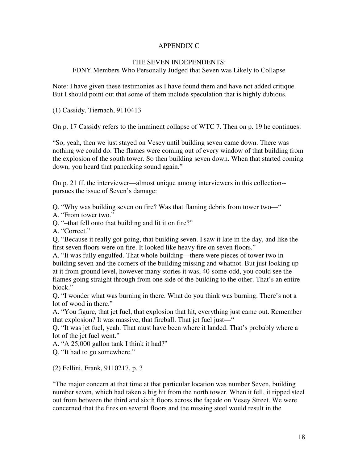# APPENDIX C

## THE SEVEN INDEPENDENTS:

# FDNY Members Who Personally Judged that Seven was Likely to Collapse

Note: I have given these testimonies as I have found them and have not added critique. But I should point out that some of them include speculation that is highly dubious.

(1) Cassidy, Tiernach, 9110413

On p. 17 Cassidy refers to the imminent collapse of WTC 7. Then on p. 19 he continues:

"So, yeah, then we just stayed on Vesey until building seven came down. There was nothing we could do. The flames were coming out of every window of that building from the explosion of the south tower. So then building seven down. When that started coming down, you heard that pancaking sound again."

On p. 21 ff. the interviewer—almost unique among interviewers in this collection- pursues the issue of Seven's damage:

Q. "Why was building seven on fire? Was that flaming debris from tower two—"

A. "From tower two."

Q. "–that fell onto that building and lit it on fire?"

A. "Correct."

Q. "Because it really got going, that building seven. I saw it late in the day, and like the first seven floors were on fire. It looked like heavy fire on seven floors."

A. "It was fully engulfed. That whole building—there were pieces of tower two in building seven and the corners of the building missing and whatnot. But just looking up at it from ground level, however many stories it was, 40-some-odd, you could see the flames going straight through from one side of the building to the other. That's an entire block."

Q. "I wonder what was burning in there. What do you think was burning. There's not a lot of wood in there."

A. "You figure, that jet fuel, that explosion that hit, everything just came out. Remember that explosion? It was massive, that fireball. That jet fuel just—"

Q. "It was jet fuel, yeah. That must have been where it landed. That's probably where a lot of the jet fuel went."

A. "A 25,000 gallon tank I think it had?"

Q. "It had to go somewhere."

(2) Fellini, Frank, 9110217, p. 3

"The major concern at that time at that particular location was number Seven, building number seven, which had taken a big hit from the north tower. When it fell, it ripped steel out from between the third and sixth floors across the façade on Vesey Street. We were concerned that the fires on several floors and the missing steel would result in the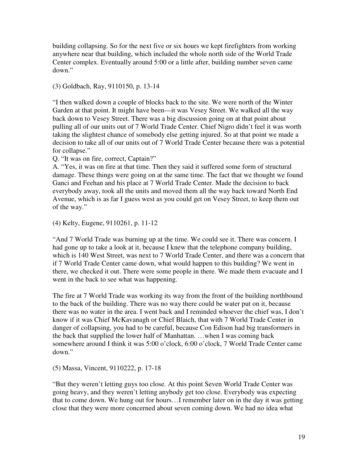building collapsing. So for the next five or six hours we kept firefighters from working anywhere near that building, which included the whole north side of the World Trade Center complex. Eventually around 5:00 or a little after, building number seven came down."

(3) Goldbach, Ray, 9110150, p. 13-14

"I then walked down a couple of blocks back to the site. We were north of the Winter Garden at that point. It might have been—it was Vesey Street. We walked all the way back down to Vesey Street. There was a big discussion going on at that point about pulling all of our units out of 7 World Trade Center. Chief Nigro didn't feel it was worth taking the slightest chance of somebody else getting injured. So at that point we made a decision to take all of our units out of 7 World Trade Center because there was a potential for collapse."

Q. "It was on fire, correct, Captain?"

A. "Yes, it was on fire at that time. Then they said it suffered some form of structural damage. These things were going on at the same time. The fact that we thought we found Ganci and Feehan and his place at 7 World Trade Center. Made the decision to back everybody away, took all the units and moved them all the way back toward North End Avenue, which is as far I guess west as you could get on Vesey Street, to keep them out of the way."

(4) Kelty, Eugene, 9110261, p. 11-12

"And 7 World Trade was burning up at the time. We could see it. There was concern. I had gone up to take a look at it, because I knew that the telephone company building, which is 140 West Street, was next to 7 World Trade Center, and there was a concern that if 7 World Trade Center came down, what would happen to this building? We went in there, we checked it out. There were some people in there. We made them evacuate and I went in the back to see what was happening.

The fire at 7 World Trade was working its way from the front of the building northbound to the back of the building. There was no way there could be water put on it, because there was no water in the area. I went back and I reminded whoever the chief was, I don't know if it was Chief McKavanagh or Chief Blaich, that with 7 World Trade Center in danger of collapsing, you had to be careful, because Con Edison had big transformers in the back that supplied the lower half of Manhattan. …when I was coming back somewhere around I think it was 5:00 o'clock, 6:00 o'clock, 7 World Trade Center came down."

(5) Massa, Vincent, 9110222, p. 17-18

"But they weren't letting guys too close. At this point Seven World Trade Center was going heavy, and they weren't letting anybody get too close. Everybody was expecting that to come down. We hung out for hours…I remember later on in the day it was getting close that they were more concerned about seven coming down. We had no idea what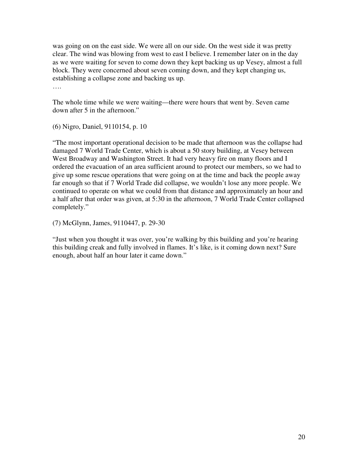was going on on the east side. We were all on our side. On the west side it was pretty clear. The wind was blowing from west to east I believe. I remember later on in the day as we were waiting for seven to come down they kept backing us up Vesey, almost a full block. They were concerned about seven coming down, and they kept changing us, establishing a collapse zone and backing us up. ….

The whole time while we were waiting—there were hours that went by. Seven came down after 5 in the afternoon."

(6) Nigro, Daniel, 9110154, p. 10

"The most important operational decision to be made that afternoon was the collapse had damaged 7 World Trade Center, which is about a 50 story building, at Vesey between West Broadway and Washington Street. It had very heavy fire on many floors and I ordered the evacuation of an area sufficient around to protect our members, so we had to give up some rescue operations that were going on at the time and back the people away far enough so that if 7 World Trade did collapse, we wouldn't lose any more people. We continued to operate on what we could from that distance and approximately an hour and a half after that order was given, at 5:30 in the afternoon, 7 World Trade Center collapsed completely."

(7) McGlynn, James, 9110447, p. 29-30

"Just when you thought it was over, you're walking by this building and you're hearing this building creak and fully involved in flames. It's like, is it coming down next? Sure enough, about half an hour later it came down."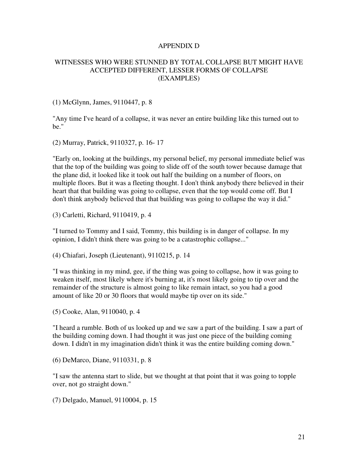## APPENDIX D

## WITNESSES WHO WERE STUNNED BY TOTAL COLLAPSE BUT MIGHT HAVE ACCEPTED DIFFERENT, LESSER FORMS OF COLLAPSE (EXAMPLES)

(1) McGlynn, James, 9110447, p. 8

"Any time I've heard of a collapse, it was never an entire building like this turned out to be."

(2) Murray, Patrick, 9110327, p. 16- 17

"Early on, looking at the buildings, my personal belief, my personal immediate belief was that the top of the building was going to slide off of the south tower because damage that the plane did, it looked like it took out half the building on a number of floors, on multiple floors. But it was a fleeting thought. I don't think anybody there believed in their heart that that building was going to collapse, even that the top would come off. But I don't think anybody believed that that building was going to collapse the way it did."

(3) Carletti, Richard, 9110419, p. 4

"I turned to Tommy and I said, Tommy, this building is in danger of collapse. In my opinion, I didn't think there was going to be a catastrophic collapse..."

(4) Chiafari, Joseph (Lieutenant), 9110215, p. 14

"I was thinking in my mind, gee, if the thing was going to collapse, how it was going to weaken itself, most likely where it's burning at, it's most likely going to tip over and the remainder of the structure is almost going to like remain intact, so you had a good amount of like 20 or 30 floors that would maybe tip over on its side."

(5) Cooke, Alan, 9110040, p. 4

"I heard a rumble. Both of us looked up and we saw a part of the building. I saw a part of the building coming down. I had thought it was just one piece of the building coming down. I didn't in my imagination didn't think it was the entire building coming down."

(6) DeMarco, Diane, 9110331, p. 8

"I saw the antenna start to slide, but we thought at that point that it was going to topple over, not go straight down."

(7) Delgado, Manuel, 9110004, p. 15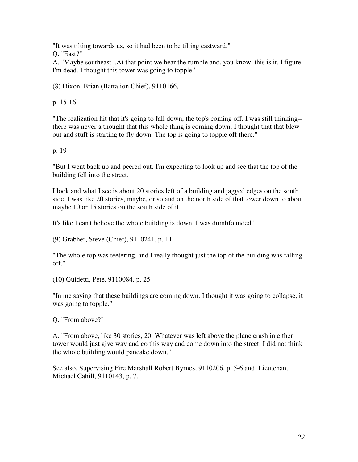"It was tilting towards us, so it had been to be tilting eastward."

Q. "East?"

A. "Maybe southeast...At that point we hear the rumble and, you know, this is it. I figure I'm dead. I thought this tower was going to topple."

(8) Dixon, Brian (Battalion Chief), 9110166,

p. 15-16

"The realization hit that it's going to fall down, the top's coming off. I was still thinking- there was never a thought that this whole thing is coming down. I thought that that blew out and stuff is starting to fly down. The top is going to topple off there."

p. 19

"But I went back up and peered out. I'm expecting to look up and see that the top of the building fell into the street.

I look and what I see is about 20 stories left of a building and jagged edges on the south side. I was like 20 stories, maybe, or so and on the north side of that tower down to about maybe 10 or 15 stories on the south side of it.

It's like I can't believe the whole building is down. I was dumbfounded."

(9) Grabher, Steve (Chief), 9110241, p. 11

"The whole top was teetering, and I really thought just the top of the building was falling off."

(10) Guidetti, Pete, 9110084, p. 25

"In me saying that these buildings are coming down, I thought it was going to collapse, it was going to topple."

Q. "From above?"

A. "From above, like 30 stories, 20. Whatever was left above the plane crash in either tower would just give way and go this way and come down into the street. I did not think the whole building would pancake down."

See also, Supervising Fire Marshall Robert Byrnes, 9110206, p. 5-6 and Lieutenant Michael Cahill, 9110143, p. 7.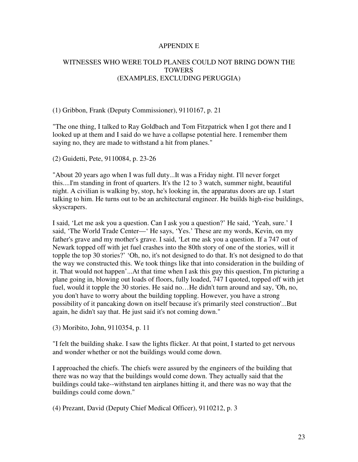## APPENDIX E

# WITNESSES WHO WERE TOLD PLANES COULD NOT BRING DOWN THE **TOWERS** (EXAMPLES, EXCLUDING PERUGGIA)

## (1) Gribbon, Frank (Deputy Commissioner), 9110167, p. 21

"The one thing, I talked to Ray Goldbach and Tom Fitzpatrick when I got there and I looked up at them and I said do we have a collapse potential here. I remember them saying no, they are made to withstand a hit from planes."

(2) Guidetti, Pete, 9110084, p. 23-26

"About 20 years ago when I was full duty...It was a Friday night. I'll never forget this....I'm standing in front of quarters. It's the 12 to 3 watch, summer night, beautiful night. A civilian is walking by, stop, he's looking in, the apparatus doors are up. I start talking to him. He turns out to be an architectural engineer. He builds high-rise buildings, skyscrapers.

I said, 'Let me ask you a question. Can I ask you a question?' He said, 'Yeah, sure.' I said, 'The World Trade Center—' He says, 'Yes.' These are my words, Kevin, on my father's grave and my mother's grave. I said, 'Let me ask you a question. If a 747 out of Newark topped off with jet fuel crashes into the 80th story of one of the stories, will it topple the top 30 stories?' 'Oh, no, it's not designed to do that. It's not designed to do that the way we constructed this. We took things like that into consideration in the building of it. That would not happen'...At that time when I ask this guy this question, I'm picturing a plane going in, blowing out loads of floors, fully loaded, 747 I quoted, topped off with jet fuel, would it topple the 30 stories. He said no...He didn't turn around and say, 'Oh, no, you don't have to worry about the building toppling. However, you have a strong possibility of it pancaking down on itself because it's primarily steel construction'...But again, he didn't say that. He just said it's not coming down."

(3) Moribito, John, 9110354, p. 11

"I felt the building shake. I saw the lights flicker. At that point, I started to get nervous and wonder whether or not the buildings would come down.

I approached the chiefs. The chiefs were assured by the engineers of the building that there was no way that the buildings would come down. They actually said that the buildings could take--withstand ten airplanes hitting it, and there was no way that the buildings could come down."

(4) Prezant, David (Deputy Chief Medical Officer), 9110212, p. 3